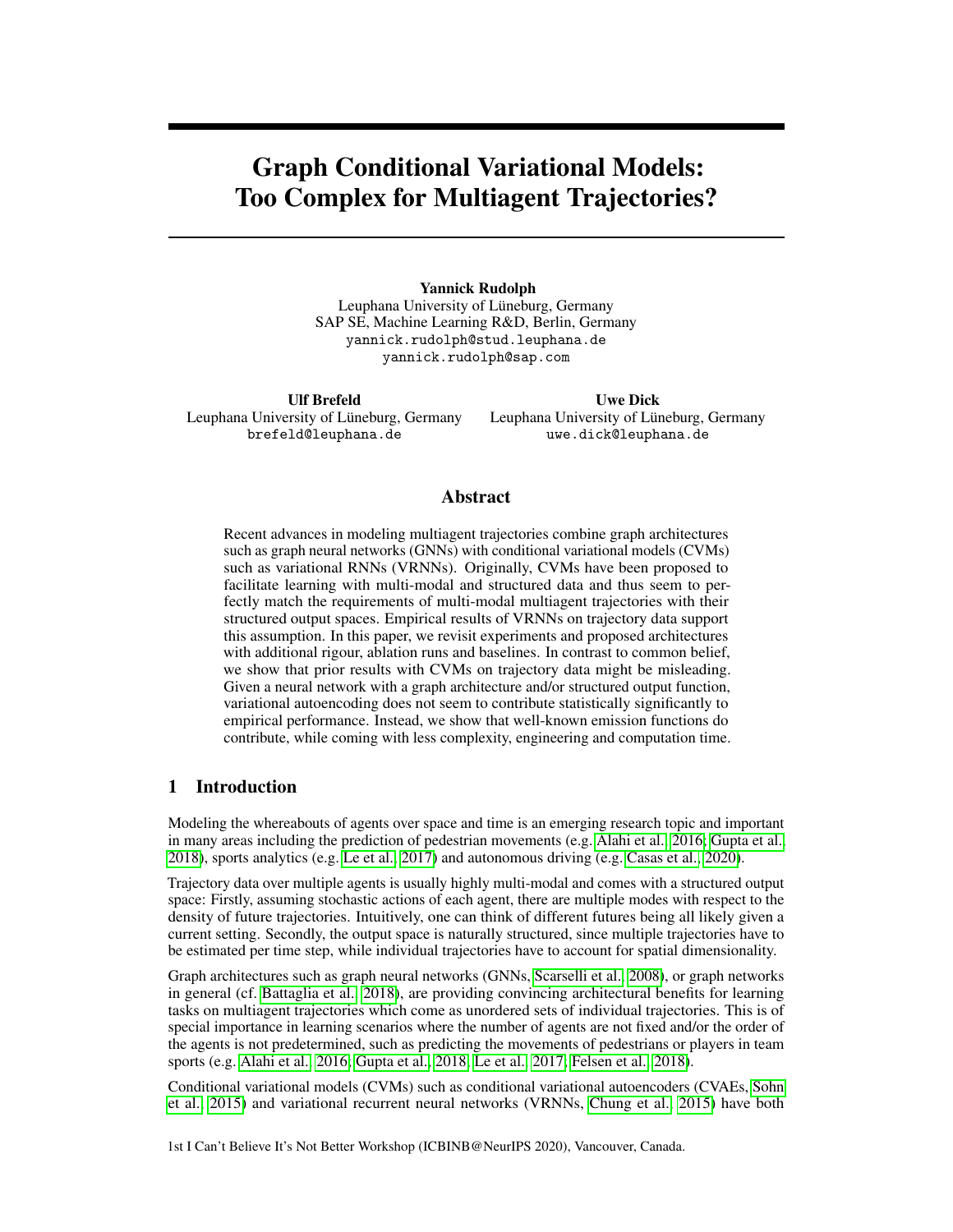# Graph Conditional Variational Models: Too Complex for Multiagent Trajectories?

Yannick Rudolph Leuphana University of Lüneburg, Germany SAP SE, Machine Learning R&D, Berlin, Germany yannick.rudolph@stud.leuphana.de yannick.rudolph@sap.com

Ulf Brefeld Leuphana University of Lüneburg, Germany brefeld@leuphana.de

Uwe Dick Leuphana University of Lüneburg, Germany uwe.dick@leuphana.de

## Abstract

Recent advances in modeling multiagent trajectories combine graph architectures such as graph neural networks (GNNs) with conditional variational models (CVMs) such as variational RNNs (VRNNs). Originally, CVMs have been proposed to facilitate learning with multi-modal and structured data and thus seem to perfectly match the requirements of multi-modal multiagent trajectories with their structured output spaces. Empirical results of VRNNs on trajectory data support this assumption. In this paper, we revisit experiments and proposed architectures with additional rigour, ablation runs and baselines. In contrast to common belief, we show that prior results with CVMs on trajectory data might be misleading. Given a neural network with a graph architecture and/or structured output function, variational autoencoding does not seem to contribute statistically significantly to empirical performance. Instead, we show that well-known emission functions do contribute, while coming with less complexity, engineering and computation time.

# 1 Introduction

Modeling the whereabouts of agents over space and time is an emerging research topic and important in many areas including the prediction of pedestrian movements (e.g. [Alahi et al., 2016;](#page-8-0) [Gupta et al.,](#page-9-0) [2018\)](#page-9-0), sports analytics (e.g. [Le et al., 2017\)](#page-10-0) and autonomous driving (e.g. [Casas et al., 2020\)](#page-9-1).

Trajectory data over multiple agents is usually highly multi-modal and comes with a structured output space: Firstly, assuming stochastic actions of each agent, there are multiple modes with respect to the density of future trajectories. Intuitively, one can think of different futures being all likely given a current setting. Secondly, the output space is naturally structured, since multiple trajectories have to be estimated per time step, while individual trajectories have to account for spatial dimensionality.

Graph architectures such as graph neural networks (GNNs, [Scarselli et al., 2008\)](#page-10-1), or graph networks in general (cf. [Battaglia et al., 2018\)](#page-9-2), are providing convincing architectural benefits for learning tasks on multiagent trajectories which come as unordered sets of individual trajectories. This is of special importance in learning scenarios where the number of agents are not fixed and/or the order of the agents is not predetermined, such as predicting the movements of pedestrians or players in team sports (e.g. [Alahi et al., 2016;](#page-8-0) [Gupta et al., 2018;](#page-9-0) [Le et al., 2017;](#page-10-0) [Felsen et al., 2018\)](#page-9-3).

Conditional variational models (CVMs) such as conditional variational autoencoders (CVAEs, [Sohn](#page-10-2) [et al., 2015\)](#page-10-2) and variational recurrent neural networks (VRNNs, [Chung et al., 2015\)](#page-9-4) have both

1st I Can't Believe It's Not Better Workshop (ICBINB@NeurIPS 2020), Vancouver, Canada.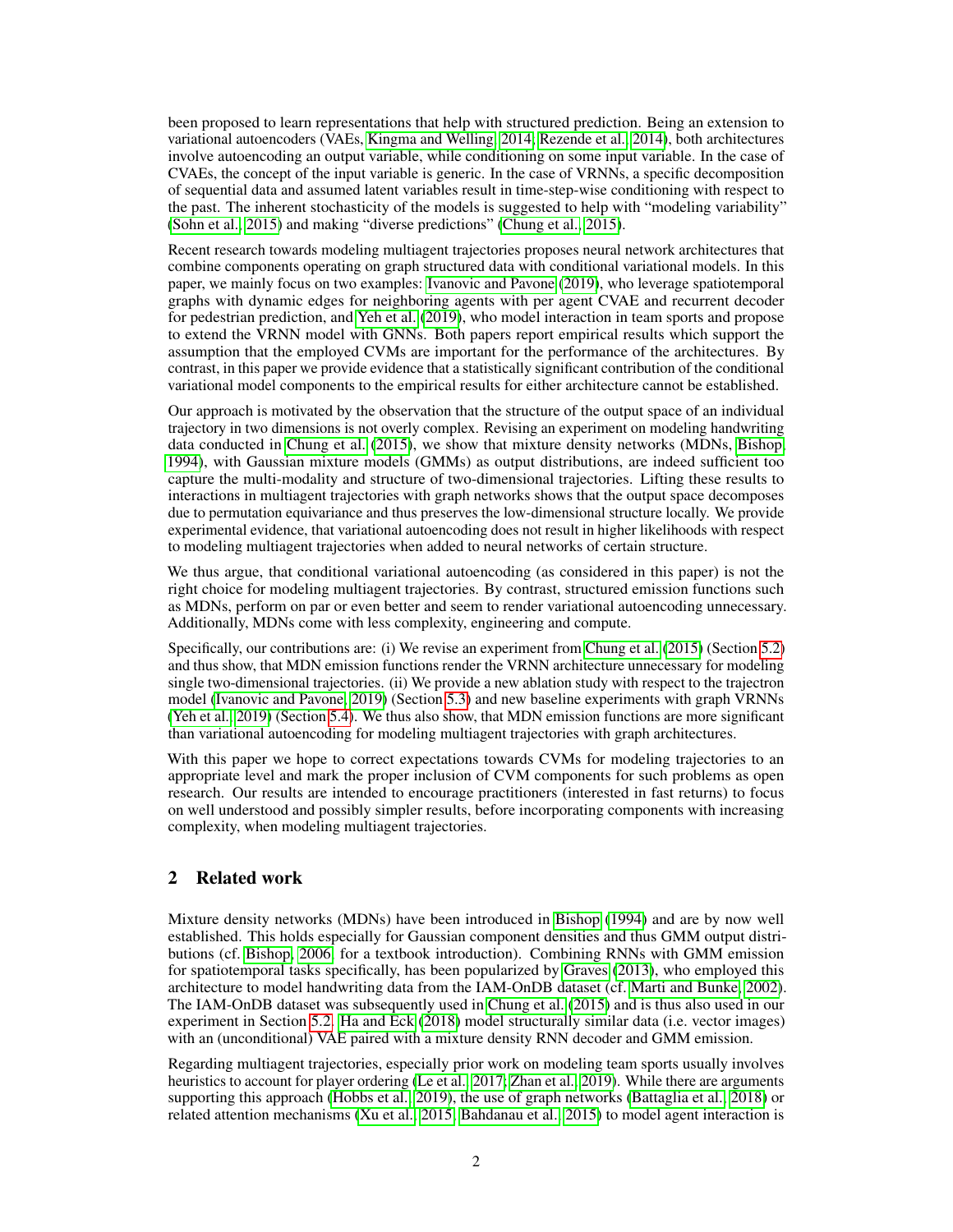been proposed to learn representations that help with structured prediction. Being an extension to variational autoencoders (VAEs, [Kingma and Welling, 2014;](#page-10-3) [Rezende et al., 2014\)](#page-10-4), both architectures involve autoencoding an output variable, while conditioning on some input variable. In the case of CVAEs, the concept of the input variable is generic. In the case of VRNNs, a specific decomposition of sequential data and assumed latent variables result in time-step-wise conditioning with respect to the past. The inherent stochasticity of the models is suggested to help with "modeling variability" [\(Sohn et al., 2015\)](#page-10-2) and making "diverse predictions" [\(Chung et al., 2015\)](#page-9-4).

Recent research towards modeling multiagent trajectories proposes neural network architectures that combine components operating on graph structured data with conditional variational models. In this paper, we mainly focus on two examples: [Ivanovic and Pavone](#page-9-5) [\(2019\)](#page-9-5), who leverage spatiotemporal graphs with dynamic edges for neighboring agents with per agent CVAE and recurrent decoder for pedestrian prediction, and [Yeh et al.](#page-11-0) [\(2019\)](#page-11-0), who model interaction in team sports and propose to extend the VRNN model with GNNs. Both papers report empirical results which support the assumption that the employed CVMs are important for the performance of the architectures. By contrast, in this paper we provide evidence that a statistically significant contribution of the conditional variational model components to the empirical results for either architecture cannot be established.

Our approach is motivated by the observation that the structure of the output space of an individual trajectory in two dimensions is not overly complex. Revising an experiment on modeling handwriting data conducted in [Chung et al.](#page-9-4) [\(2015\)](#page-9-4), we show that mixture density networks (MDNs, [Bishop,](#page-9-6) [1994\)](#page-9-6), with Gaussian mixture models (GMMs) as output distributions, are indeed sufficient too capture the multi-modality and structure of two-dimensional trajectories. Lifting these results to interactions in multiagent trajectories with graph networks shows that the output space decomposes due to permutation equivariance and thus preserves the low-dimensional structure locally. We provide experimental evidence, that variational autoencoding does not result in higher likelihoods with respect to modeling multiagent trajectories when added to neural networks of certain structure.

We thus argue, that conditional variational autoencoding (as considered in this paper) is not the right choice for modeling multiagent trajectories. By contrast, structured emission functions such as MDNs, perform on par or even better and seem to render variational autoencoding unnecessary. Additionally, MDNs come with less complexity, engineering and compute.

Specifically, our contributions are: (i) We revise an experiment from [Chung et al.](#page-9-4) [\(2015\)](#page-9-4) (Section [5.2\)](#page-4-0) and thus show, that MDN emission functions render the VRNN architecture unnecessary for modeling single two-dimensional trajectories. (ii) We provide a new ablation study with respect to the trajectron model [\(Ivanovic and Pavone, 2019\)](#page-9-5) (Section [5.3\)](#page-5-0) and new baseline experiments with graph VRNNs [\(Yeh et al., 2019\)](#page-11-0) (Section [5.4\)](#page-6-0). We thus also show, that MDN emission functions are more significant than variational autoencoding for modeling multiagent trajectories with graph architectures.

With this paper we hope to correct expectations towards CVMs for modeling trajectories to an appropriate level and mark the proper inclusion of CVM components for such problems as open research. Our results are intended to encourage practitioners (interested in fast returns) to focus on well understood and possibly simpler results, before incorporating components with increasing complexity, when modeling multiagent trajectories.

# 2 Related work

Mixture density networks (MDNs) have been introduced in [Bishop](#page-9-6) [\(1994\)](#page-9-6) and are by now well established. This holds especially for Gaussian component densities and thus GMM output distributions (cf. [Bishop, 2006,](#page-9-7) for a textbook introduction). Combining RNNs with GMM emission for spatiotemporal tasks specifically, has been popularized by [Graves](#page-9-8) [\(2013\)](#page-9-8), who employed this architecture to model handwriting data from the IAM-OnDB dataset (cf. [Marti and Bunke, 2002\)](#page-10-5). The IAM-OnDB dataset was subsequently used in [Chung et al.](#page-9-4) [\(2015\)](#page-9-4) and is thus also used in our experiment in Section [5.2.](#page-4-0) [Ha and Eck](#page-9-9) [\(2018\)](#page-9-9) model structurally similar data (i.e. vector images) with an (unconditional) VAE paired with a mixture density RNN decoder and GMM emission.

Regarding multiagent trajectories, especially prior work on modeling team sports usually involves heuristics to account for player ordering [\(Le et al., 2017;](#page-10-0) [Zhan et al., 2019\)](#page-11-1). While there are arguments supporting this approach [\(Hobbs et al., 2019\)](#page-9-10), the use of graph networks [\(Battaglia et al., 2018\)](#page-9-2) or related attention mechanisms [\(Xu et al., 2015;](#page-11-2) [Bahdanau et al., 2015\)](#page-9-11) to model agent interaction is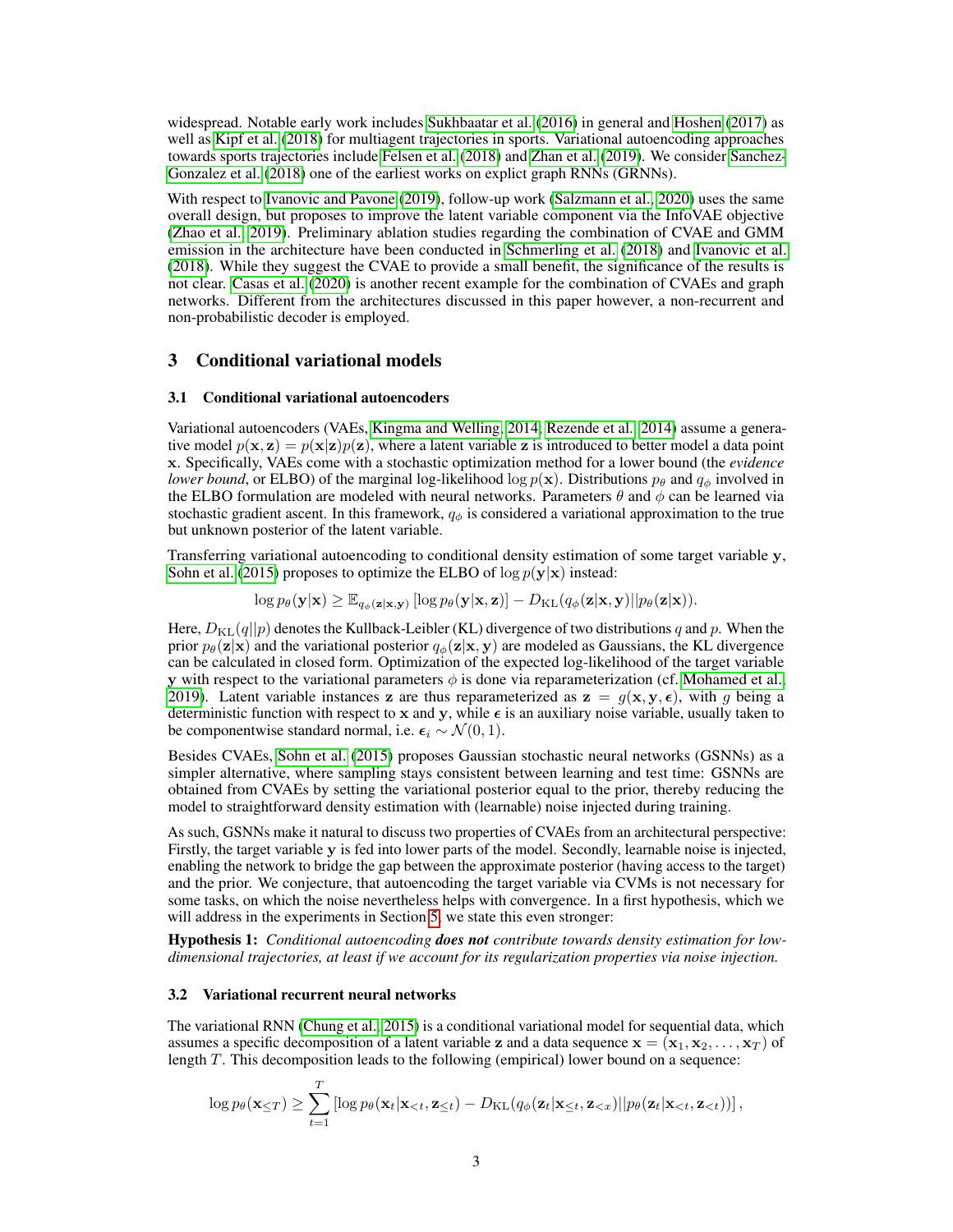widespread. Notable early work includes [Sukhbaatar et al.](#page-11-3) [\(2016\)](#page-11-3) in general and [Hoshen](#page-9-12) [\(2017\)](#page-9-12) as well as [Kipf et al.](#page-10-6) [\(2018\)](#page-10-6) for multiagent trajectories in sports. Variational autoencoding approaches towards sports trajectories include [Felsen et al.](#page-9-3) [\(2018\)](#page-9-3) and [Zhan et al.](#page-11-1) [\(2019\)](#page-11-1). We consider [Sanchez-](#page-10-7)[Gonzalez et al.](#page-10-7) [\(2018\)](#page-10-7) one of the earliest works on explict graph RNNs (GRNNs).

With respect to [Ivanovic and Pavone](#page-9-5) [\(2019\)](#page-9-5), follow-up work [\(Salzmann et al., 2020\)](#page-10-8) uses the same overall design, but proposes to improve the latent variable component via the InfoVAE objective [\(Zhao et al., 2019\)](#page-11-4). Preliminary ablation studies regarding the combination of CVAE and GMM emission in the architecture have been conducted in [Schmerling et al.](#page-10-9) [\(2018\)](#page-10-9) and [Ivanovic et al.](#page-9-13) [\(2018\)](#page-9-13). While they suggest the CVAE to provide a small benefit, the significance of the results is not clear. [Casas et al.](#page-9-1) [\(2020\)](#page-9-1) is another recent example for the combination of CVAEs and graph networks. Different from the architectures discussed in this paper however, a non-recurrent and non-probabilistic decoder is employed.

### <span id="page-2-0"></span>3 Conditional variational models

#### 3.1 Conditional variational autoencoders

Variational autoencoders (VAEs, [Kingma and Welling, 2014;](#page-10-3) [Rezende et al., 2014\)](#page-10-4) assume a generative model  $p(x, z) = p(x|z)p(z)$ , where a latent variable z is introduced to better model a data point x. Specifically, VAEs come with a stochastic optimization method for a lower bound (the *evidence lower bound*, or ELBO) of the marginal log-likelihood log  $p(x)$ . Distributions  $p_\theta$  and  $q_\phi$  involved in the ELBO formulation are modeled with neural networks. Parameters  $\theta$  and  $\phi$  can be learned via stochastic gradient ascent. In this framework,  $q_{\phi}$  is considered a variational approximation to the true but unknown posterior of the latent variable.

Transferring variational autoencoding to conditional density estimation of some target variable y, [Sohn et al.](#page-10-2) [\(2015\)](#page-10-2) proposes to optimize the ELBO of  $\log p(\mathbf{y}|\mathbf{x})$  instead:

 $\log p_{\theta}(\mathbf{y}|\mathbf{x}) \geq \mathbb{E}_{q_{\phi}(\mathbf{z}|\mathbf{x}, \mathbf{y})} [\log p_{\theta}(\mathbf{y}|\mathbf{x}, \mathbf{z})] - D_{\text{KL}}(q_{\phi}(\mathbf{z}|\mathbf{x}, \mathbf{y}) || p_{\theta}(\mathbf{z}|\mathbf{x})).$ 

Here,  $D_{\text{KL}}(q||p)$  denotes the Kullback-Leibler (KL) divergence of two distributions q and p. When the prior  $p_{\theta}(\mathbf{z}|\mathbf{x})$  and the variational posterior  $q_{\phi}(\mathbf{z}|\mathbf{x}, \mathbf{y})$  are modeled as Gaussians, the KL divergence can be calculated in closed form. Optimization of the expected log-likelihood of the target variable y with respect to the variational parameters  $\phi$  is done via reparameterization (cf. [Mohamed et al.,](#page-10-10) [2019\)](#page-10-10). Latent variable instances z are thus reparameterized as  $z = g(x, y, \epsilon)$ , with g being a deterministic function with respect to x and y, while  $\epsilon$  is an auxiliary noise variable, usually taken to be componentwise standard normal, i.e.  $\epsilon_i \sim \mathcal{N}(0, 1)$ .

Besides CVAEs, [Sohn et al.](#page-10-2) [\(2015\)](#page-10-2) proposes Gaussian stochastic neural networks (GSNNs) as a simpler alternative, where sampling stays consistent between learning and test time: GSNNs are obtained from CVAEs by setting the variational posterior equal to the prior, thereby reducing the model to straightforward density estimation with (learnable) noise injected during training.

As such, GSNNs make it natural to discuss two properties of CVAEs from an architectural perspective: Firstly, the target variable  $\bf{v}$  is fed into lower parts of the model. Secondly, learnable noise is injected, enabling the network to bridge the gap between the approximate posterior (having access to the target) and the prior. We conjecture, that autoencoding the target variable via CVMs is not necessary for some tasks, on which the noise nevertheless helps with convergence. In a first hypothesis, which we will address in the experiments in Section [5,](#page-4-1) we state this even stronger:

<span id="page-2-1"></span>Hypothesis 1: *Conditional autoencoding does not contribute towards density estimation for lowdimensional trajectories, at least if we account for its regularization properties via noise injection.*

#### 3.2 Variational recurrent neural networks

The variational RNN [\(Chung et al., 2015\)](#page-9-4) is a conditional variational model for sequential data, which assumes a specific decomposition of a latent variable z and a data sequence  $\mathbf{x} = (\mathbf{x}_1, \mathbf{x}_2, \dots, \mathbf{x}_T)$  of length T. This decomposition leads to the following (empirical) lower bound on a sequence:

$$
\log p_{\theta}(\mathbf{x}_{\leq T}) \geq \sum_{t=1}^{T} \left[ \log p_{\theta}(\mathbf{x}_t | \mathbf{x}_{
$$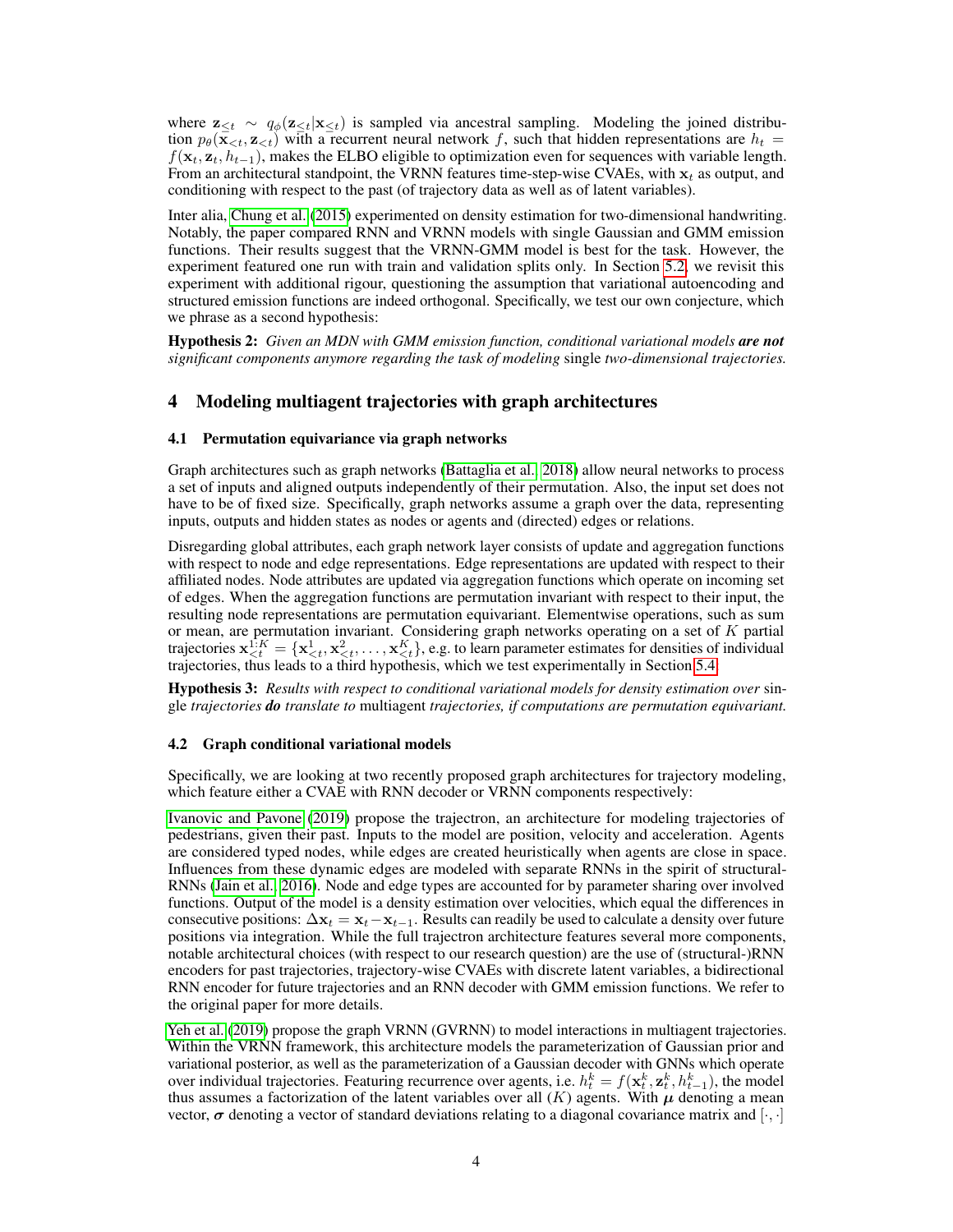where  $\mathbf{z}_{\leq t} \sim q_{\phi}(\mathbf{z}_{\leq t}|\mathbf{x}_{\leq t})$  is sampled via ancestral sampling. Modeling the joined distribution  $p_{\theta}(\mathbf{x}_{\leq t}, \mathbf{z}_{\leq t})$  with a recurrent neural network f, such that hidden representations are  $h_t =$  $f(\mathbf{x}_t, \mathbf{z}_t, h_{t-1})$ , makes the ELBO eligible to optimization even for sequences with variable length. From an architectural standpoint, the VRNN features time-step-wise CVAEs, with  $x_t$  as output, and conditioning with respect to the past (of trajectory data as well as of latent variables).

Inter alia, [Chung et al.](#page-9-4) [\(2015\)](#page-9-4) experimented on density estimation for two-dimensional handwriting. Notably, the paper compared RNN and VRNN models with single Gaussian and GMM emission functions. Their results suggest that the VRNN-GMM model is best for the task. However, the experiment featured one run with train and validation splits only. In Section [5.2,](#page-4-0) we revisit this experiment with additional rigour, questioning the assumption that variational autoencoding and structured emission functions are indeed orthogonal. Specifically, we test our own conjecture, which we phrase as a second hypothesis:

<span id="page-3-1"></span>Hypothesis 2: *Given an MDN with GMM emission function, conditional variational models are not significant components anymore regarding the task of modeling* single *two-dimensional trajectories.*

### <span id="page-3-0"></span>4 Modeling multiagent trajectories with graph architectures

#### 4.1 Permutation equivariance via graph networks

Graph architectures such as graph networks [\(Battaglia et al., 2018\)](#page-9-2) allow neural networks to process a set of inputs and aligned outputs independently of their permutation. Also, the input set does not have to be of fixed size. Specifically, graph networks assume a graph over the data, representing inputs, outputs and hidden states as nodes or agents and (directed) edges or relations.

Disregarding global attributes, each graph network layer consists of update and aggregation functions with respect to node and edge representations. Edge representations are updated with respect to their affiliated nodes. Node attributes are updated via aggregation functions which operate on incoming set of edges. When the aggregation functions are permutation invariant with respect to their input, the resulting node representations are permutation equivariant. Elementwise operations, such as sum or mean, are permutation invariant. Considering graph networks operating on a set of  $K$  partial trajectories  $\mathbf{x}_{\leq t}^{1:K} = \{\mathbf{x}_{\leq t}^1, \mathbf{x}_{\leq t}^2, \dots, \mathbf{x}_{\leq t}^K\}$ , e.g. to learn parameter estimates for densities of individual trajectories, thus leads to a third hypothesis, which we test experimentally in Section [5.4:](#page-6-0)

<span id="page-3-2"></span>Hypothesis 3: *Results with respect to conditional variational models for density estimation over* single *trajectories do translate to* multiagent *trajectories, if computations are permutation equivariant.*

#### 4.2 Graph conditional variational models

Specifically, we are looking at two recently proposed graph architectures for trajectory modeling, which feature either a CVAE with RNN decoder or VRNN components respectively:

[Ivanovic and Pavone](#page-9-5) [\(2019\)](#page-9-5) propose the trajectron, an architecture for modeling trajectories of pedestrians, given their past. Inputs to the model are position, velocity and acceleration. Agents are considered typed nodes, while edges are created heuristically when agents are close in space. Influences from these dynamic edges are modeled with separate RNNs in the spirit of structural-RNNs [\(Jain et al., 2016\)](#page-10-11). Node and edge types are accounted for by parameter sharing over involved functions. Output of the model is a density estimation over velocities, which equal the differences in consecutive positions:  $\Delta x_t = x_t - x_{t-1}$ . Results can readily be used to calculate a density over future positions via integration. While the full trajectron architecture features several more components, notable architectural choices (with respect to our research question) are the use of (structural-)RNN encoders for past trajectories, trajectory-wise CVAEs with discrete latent variables, a bidirectional RNN encoder for future trajectories and an RNN decoder with GMM emission functions. We refer to the original paper for more details.

[Yeh et al.](#page-11-0) [\(2019\)](#page-11-0) propose the graph VRNN (GVRNN) to model interactions in multiagent trajectories. Within the VRNN framework, this architecture models the parameterization of Gaussian prior and variational posterior, as well as the parameterization of a Gaussian decoder with GNNs which operate over individual trajectories. Featuring recurrence over agents, i.e.  $h_t^k = f(\mathbf{x}_t^k, \mathbf{z}_t^k, h_{t-1}^k)$ , the model thus assumes a factorization of the latent variables over all  $(K)$  agents. With  $\mu$  denoting a mean vector,  $\sigma$  denoting a vector of standard deviations relating to a diagonal covariance matrix and  $[\cdot, \cdot]$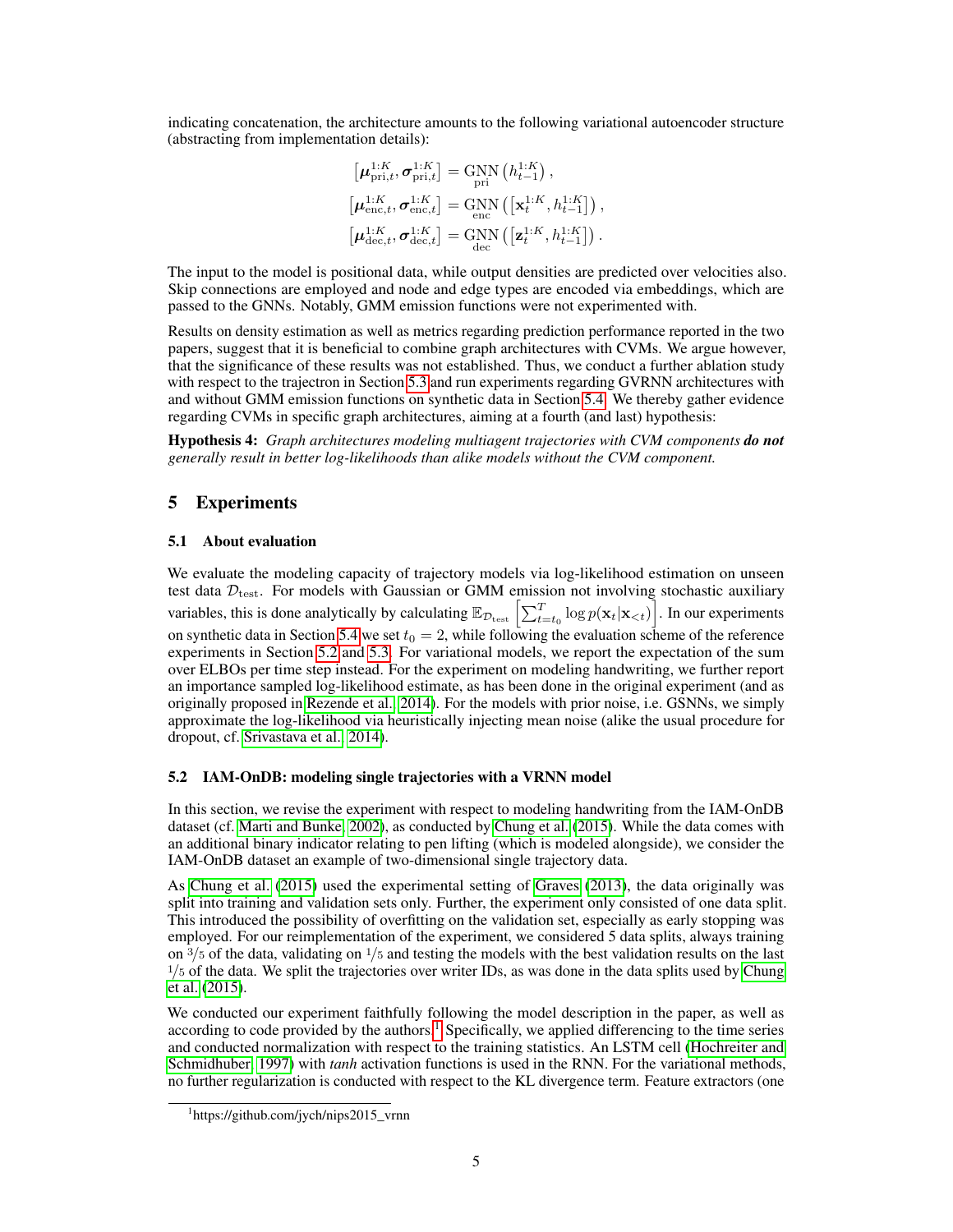indicating concatenation, the architecture amounts to the following variational autoencoder structure (abstracting from implementation details):

$$
\begin{aligned} &\left[\pmb{\mu}_{\text{pri},t}^{1:K},\pmb{\sigma}_{\text{pri},t}^{1:K}\right]=\underset{\text{pri}}{\text{GNN}}\left(h_{t-1}^{1:K}\right),\\ &\left[\pmb{\mu}_{\text{enc},t}^{1:K},\pmb{\sigma}_{\text{enc},t}^{1:K}\right]=\underset{\text{enc}}{\text{GNN}}\left(\left[\mathbf{x}_{t}^{1:K},h_{t-1}^{1:K}\right]\right),\\ &\left[\pmb{\mu}_{\text{dec},t}^{1:K},\pmb{\sigma}_{\text{dec},t}^{1:K}\right]=\underset{\text{dec}}{\text{GNN}}\left(\left[\mathbf{z}_{t}^{1:K},h_{t-1}^{1:K}\right]\right). \end{aligned}
$$

The input to the model is positional data, while output densities are predicted over velocities also. Skip connections are employed and node and edge types are encoded via embeddings, which are passed to the GNNs. Notably, GMM emission functions were not experimented with.

Results on density estimation as well as metrics regarding prediction performance reported in the two papers, suggest that it is beneficial to combine graph architectures with CVMs. We argue however, that the significance of these results was not established. Thus, we conduct a further ablation study with respect to the trajectron in Section [5.3](#page-5-0) and run experiments regarding GVRNN architectures with and without GMM emission functions on synthetic data in Section [5.4.](#page-6-0) We thereby gather evidence regarding CVMs in specific graph architectures, aiming at a fourth (and last) hypothesis:

<span id="page-4-3"></span>Hypothesis 4: *Graph architectures modeling multiagent trajectories with CVM components do not generally result in better log-likelihoods than alike models without the CVM component.*

# <span id="page-4-1"></span>5 Experiments

### 5.1 About evaluation

We evaluate the modeling capacity of trajectory models via log-likelihood estimation on unseen test data  $\mathcal{D}_{\text{test}}$ . For models with Gaussian or GMM emission not involving stochastic auxiliary variables, this is done analytically by calculating  $\mathbb{E}_{\mathcal{D}_{\text{test}}}\left[\sum_{t=t_0}^T \log p(\mathbf{x}_t|\mathbf{x}_{. In our experiments$ on synthetic data in Section [5.4](#page-6-0) we set  $t_0 = 2$ , while following the evaluation scheme of the reference experiments in Section [5.2](#page-4-0) and [5.3.](#page-5-0) For variational models, we report the expectation of the sum over ELBOs per time step instead. For the experiment on modeling handwriting, we further report an importance sampled log-likelihood estimate, as has been done in the original experiment (and as originally proposed in [Rezende et al., 2014\)](#page-10-4). For the models with prior noise, i.e. GSNNs, we simply approximate the log-likelihood via heuristically injecting mean noise (alike the usual procedure for dropout, cf. [Srivastava et al., 2014\)](#page-11-5).

#### <span id="page-4-0"></span>5.2 IAM-OnDB: modeling single trajectories with a VRNN model

In this section, we revise the experiment with respect to modeling handwriting from the IAM-OnDB dataset (cf. [Marti and Bunke, 2002\)](#page-10-5), as conducted by [Chung et al.](#page-9-4) [\(2015\)](#page-9-4). While the data comes with an additional binary indicator relating to pen lifting (which is modeled alongside), we consider the IAM-OnDB dataset an example of two-dimensional single trajectory data.

As [Chung et al.](#page-9-4) [\(2015\)](#page-9-4) used the experimental setting of [Graves](#page-9-8) [\(2013\)](#page-9-8), the data originally was split into training and validation sets only. Further, the experiment only consisted of one data split. This introduced the possibility of overfitting on the validation set, especially as early stopping was employed. For our reimplementation of the experiment, we considered 5 data splits, always training on  $\frac{3}{5}$  of the data, validating on  $\frac{1}{5}$  and testing the models with the best validation results on the last  $1/5$  of the data. We split the trajectories over writer IDs, as was done in the data splits used by [Chung](#page-9-4) [et al.](#page-9-4) [\(2015\)](#page-9-4).

We conducted our experiment faithfully following the model description in the paper, as well as according to code provided by the authors.<sup>[1](#page-4-2)</sup> Specifically, we applied differencing to the time series and conducted normalization with respect to the training statistics. An LSTM cell [\(Hochreiter and](#page-9-14) [Schmidhuber, 1997\)](#page-9-14) with *tanh* activation functions is used in the RNN. For the variational methods, no further regularization is conducted with respect to the KL divergence term. Feature extractors (one

<span id="page-4-2"></span><sup>1</sup> https://github.com/jych/nips2015\_vrnn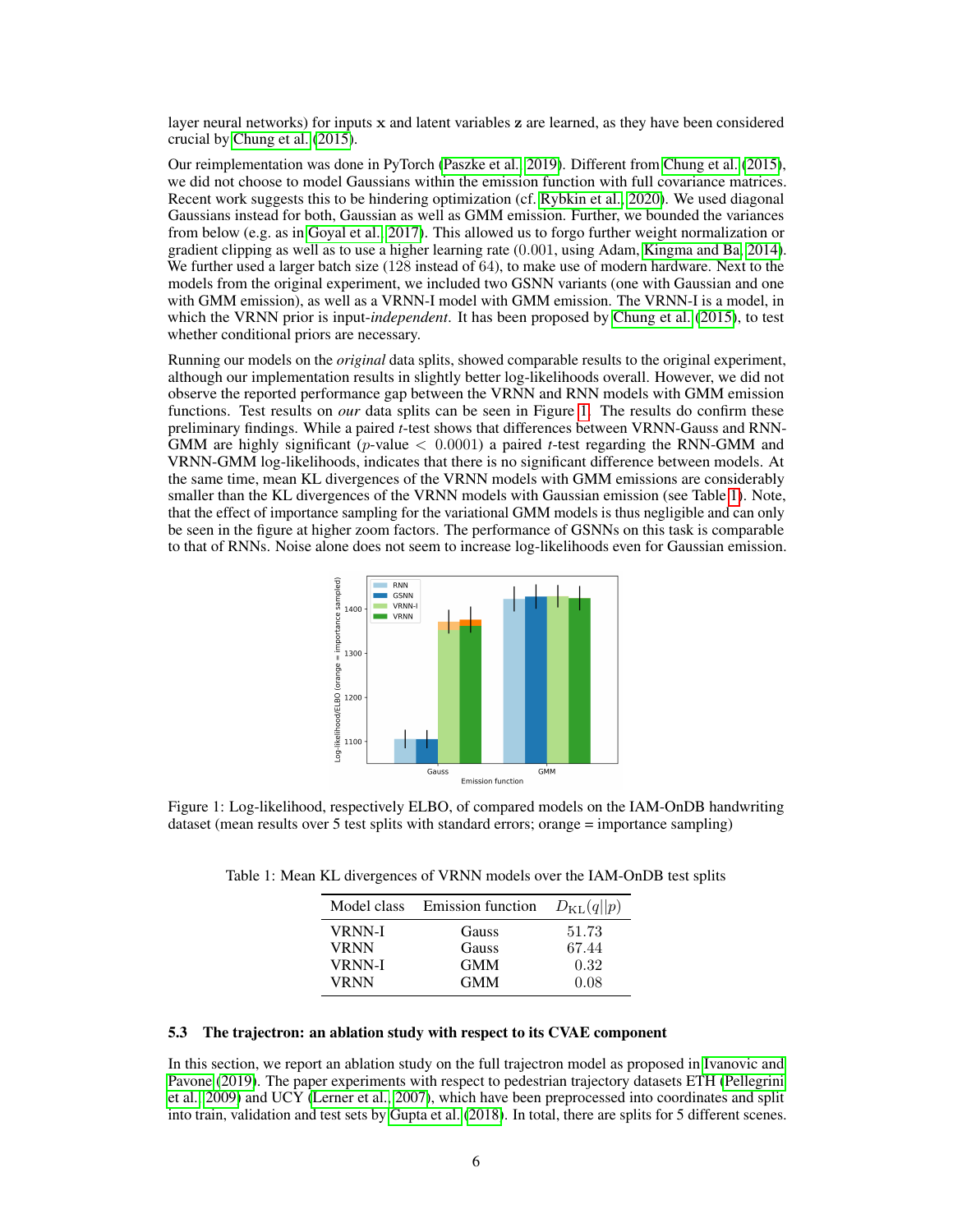layer neural networks) for inputs  $x$  and latent variables  $z$  are learned, as they have been considered crucial by [Chung et al.](#page-9-4) [\(2015\)](#page-9-4).

Our reimplementation was done in PyTorch [\(Paszke et al., 2019\)](#page-10-12). Different from [Chung et al.](#page-9-4) [\(2015\)](#page-9-4), we did not choose to model Gaussians within the emission function with full covariance matrices. Recent work suggests this to be hindering optimization (cf. [Rybkin et al., 2020\)](#page-10-13). We used diagonal Gaussians instead for both, Gaussian as well as GMM emission. Further, we bounded the variances from below (e.g. as in [Goyal et al., 2017\)](#page-9-15). This allowed us to forgo further weight normalization or gradient clipping as well as to use a higher learning rate (0.001, using Adam, [Kingma and Ba, 2014\)](#page-10-14). We further used a larger batch size (128 instead of 64), to make use of modern hardware. Next to the models from the original experiment, we included two GSNN variants (one with Gaussian and one with GMM emission), as well as a VRNN-I model with GMM emission. The VRNN-I is a model, in which the VRNN prior is input-*independent*. It has been proposed by [Chung et al.](#page-9-4) [\(2015\)](#page-9-4), to test whether conditional priors are necessary.

Running our models on the *original* data splits, showed comparable results to the original experiment, although our implementation results in slightly better log-likelihoods overall. However, we did not observe the reported performance gap between the VRNN and RNN models with GMM emission functions. Test results on *our* data splits can be seen in Figure [1.](#page-5-1) The results do confirm these preliminary findings. While a paired *t*-test shows that differences between VRNN-Gauss and RNN-GMM are highly significant (p-value < 0.0001) a paired *t*-test regarding the RNN-GMM and VRNN-GMM log-likelihoods, indicates that there is no significant difference between models. At the same time, mean KL divergences of the VRNN models with GMM emissions are considerably smaller than the KL divergences of the VRNN models with Gaussian emission (see Table [1\)](#page-5-2). Note, that the effect of importance sampling for the variational GMM models is thus negligible and can only be seen in the figure at higher zoom factors. The performance of GSNNs on this task is comparable to that of RNNs. Noise alone does not seem to increase log-likelihoods even for Gaussian emission.

<span id="page-5-1"></span>

<span id="page-5-2"></span>Figure 1: Log-likelihood, respectively ELBO, of compared models on the IAM-OnDB handwriting dataset (mean results over 5 test splits with standard errors; orange = importance sampling)

| Model class   | <b>Emission function</b> | $D_{\text{KL}}(q  p)$ |
|---------------|--------------------------|-----------------------|
| <b>VRNN-I</b> | Gauss                    | 51.73                 |
| <b>VRNN</b>   | Gauss                    | 67.44                 |
| <b>VRNN-I</b> | <b>GMM</b>               | 0.32                  |
| <b>VRNN</b>   | <b>GMM</b>               | 0.08                  |

Table 1: Mean KL divergences of VRNN models over the IAM-OnDB test splits

#### <span id="page-5-0"></span>5.3 The trajectron: an ablation study with respect to its CVAE component

In this section, we report an ablation study on the full trajectron model as proposed in [Ivanovic and](#page-9-5) [Pavone](#page-9-5) [\(2019\)](#page-9-5). The paper experiments with respect to pedestrian trajectory datasets ETH [\(Pellegrini](#page-10-15) [et al., 2009\)](#page-10-15) and UCY [\(Lerner et al., 2007\)](#page-10-16), which have been preprocessed into coordinates and split into train, validation and test sets by [Gupta et al.](#page-9-0) [\(2018\)](#page-9-0). In total, there are splits for 5 different scenes.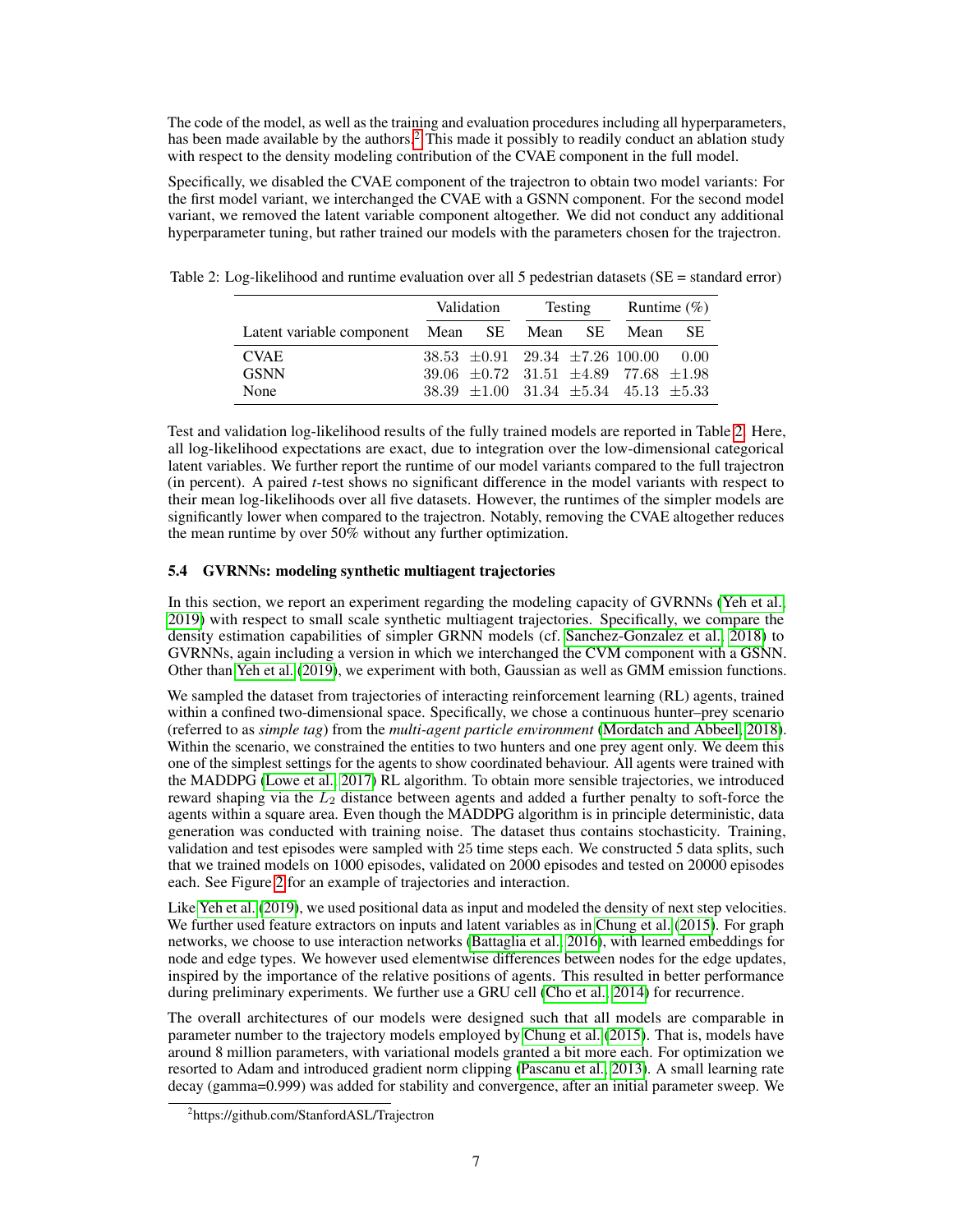The code of the model, as well as the training and evaluation procedures including all hyperparameters, has been made available by the authors.<sup>[2](#page-6-1)</sup> This made it possibly to readily conduct an ablation study with respect to the density modeling contribution of the CVAE component in the full model.

Specifically, we disabled the CVAE component of the trajectron to obtain two model variants: For the first model variant, we interchanged the CVAE with a GSNN component. For the second model variant, we removed the latent variable component altogether. We did not conduct any additional hyperparameter tuning, but rather trained our models with the parameters chosen for the trajectron.

|                                           | Validation |  | Testing |  | Runtime $(\% )$                                    |      |
|-------------------------------------------|------------|--|---------|--|----------------------------------------------------|------|
| Latent variable component Mean SE Mean SE |            |  |         |  | Mean                                               | -SE. |
| <b>CVAE</b>                               |            |  |         |  | $38.53 \pm 0.91$ $29.34 \pm 7.26$ 100.00 0.00      |      |
| <b>GSNN</b>                               |            |  |         |  | 39.06 $\pm 0.72$ 31.51 $\pm 4.89$ 77.68 $\pm 1.98$ |      |
| None                                      |            |  |         |  | $38.39 \pm 1.00$ $31.34 \pm 5.34$ $45.13 \pm 5.33$ |      |

<span id="page-6-2"></span>Table 2: Log-likelihood and runtime evaluation over all 5 pedestrian datasets (SE = standard error)

Test and validation log-likelihood results of the fully trained models are reported in Table [2.](#page-6-2) Here, all log-likelihood expectations are exact, due to integration over the low-dimensional categorical latent variables. We further report the runtime of our model variants compared to the full trajectron (in percent). A paired *t*-test shows no significant difference in the model variants with respect to their mean log-likelihoods over all five datasets. However, the runtimes of the simpler models are significantly lower when compared to the trajectron. Notably, removing the CVAE altogether reduces the mean runtime by over 50% without any further optimization.

### <span id="page-6-0"></span>5.4 GVRNNs: modeling synthetic multiagent trajectories

In this section, we report an experiment regarding the modeling capacity of GVRNNs [\(Yeh et al.,](#page-11-0) [2019\)](#page-11-0) with respect to small scale synthetic multiagent trajectories. Specifically, we compare the density estimation capabilities of simpler GRNN models (cf. [Sanchez-Gonzalez et al., 2018\)](#page-10-7) to GVRNNs, again including a version in which we interchanged the CVM component with a GSNN. Other than [Yeh et al.](#page-11-0) [\(2019\)](#page-11-0), we experiment with both, Gaussian as well as GMM emission functions.

We sampled the dataset from trajectories of interacting reinforcement learning (RL) agents, trained within a confined two-dimensional space. Specifically, we chose a continuous hunter–prey scenario (referred to as *simple tag*) from the *multi-agent particle environment* [\(Mordatch and Abbeel, 2018\)](#page-10-17). Within the scenario, we constrained the entities to two hunters and one prey agent only. We deem this one of the simplest settings for the agents to show coordinated behaviour. All agents were trained with the MADDPG [\(Lowe et al., 2017\)](#page-10-18) RL algorithm. To obtain more sensible trajectories, we introduced reward shaping via the  $L_2$  distance between agents and added a further penalty to soft-force the agents within a square area. Even though the MADDPG algorithm is in principle deterministic, data generation was conducted with training noise. The dataset thus contains stochasticity. Training, validation and test episodes were sampled with 25 time steps each. We constructed 5 data splits, such that we trained models on 1000 episodes, validated on 2000 episodes and tested on 20000 episodes each. See Figure [2](#page-7-0) for an example of trajectories and interaction.

Like [Yeh et al.](#page-11-0) [\(2019\)](#page-11-0), we used positional data as input and modeled the density of next step velocities. We further used feature extractors on inputs and latent variables as in [Chung et al.](#page-9-4) [\(2015\)](#page-9-4). For graph networks, we choose to use interaction networks [\(Battaglia et al., 2016\)](#page-9-16), with learned embeddings for node and edge types. We however used elementwise differences between nodes for the edge updates, inspired by the importance of the relative positions of agents. This resulted in better performance during preliminary experiments. We further use a GRU cell [\(Cho et al., 2014\)](#page-9-17) for recurrence.

The overall architectures of our models were designed such that all models are comparable in parameter number to the trajectory models employed by [Chung et al.](#page-9-4) [\(2015\)](#page-9-4). That is, models have around 8 million parameters, with variational models granted a bit more each. For optimization we resorted to Adam and introduced gradient norm clipping [\(Pascanu et al., 2013\)](#page-10-19). A small learning rate decay (gamma=0.999) was added for stability and convergence, after an initial parameter sweep. We

<span id="page-6-1"></span><sup>&</sup>lt;sup>2</sup>https://github.com/StanfordASL/Trajectron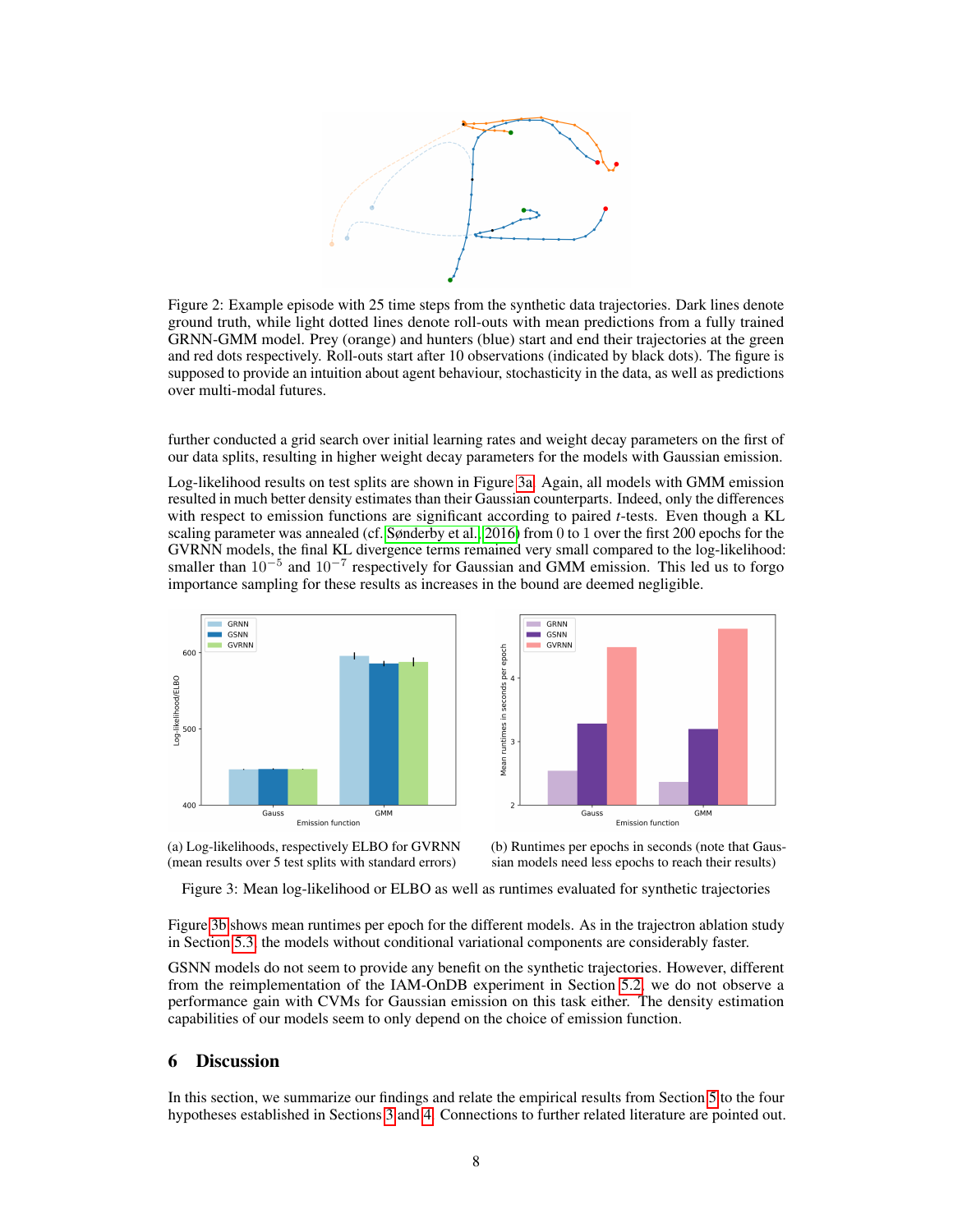<span id="page-7-0"></span>

Figure 2: Example episode with 25 time steps from the synthetic data trajectories. Dark lines denote ground truth, while light dotted lines denote roll-outs with mean predictions from a fully trained GRNN-GMM model. Prey (orange) and hunters (blue) start and end their trajectories at the green and red dots respectively. Roll-outs start after 10 observations (indicated by black dots). The figure is supposed to provide an intuition about agent behaviour, stochasticity in the data, as well as predictions over multi-modal futures.

further conducted a grid search over initial learning rates and weight decay parameters on the first of our data splits, resulting in higher weight decay parameters for the models with Gaussian emission.

Log-likelihood results on test splits are shown in Figure [3a.](#page-7-1) Again, all models with GMM emission resulted in much better density estimates than their Gaussian counterparts. Indeed, only the differences with respect to emission functions are significant according to paired *t*-tests. Even though a KL scaling parameter was annealed (cf. [Sønderby et al., 2016\)](#page-10-20) from 0 to 1 over the first 200 epochs for the GVRNN models, the final KL divergence terms remained very small compared to the log-likelihood: smaller than 10<sup>-5</sup> and 10<sup>-7</sup> respectively for Gaussian and GMM emission. This led us to forgo importance sampling for these results as increases in the bound are deemed negligible.

<span id="page-7-1"></span>



(a) Log-likelihoods, respectively ELBO for GVRNN (mean results over 5 test splits with standard errors)

(b) Runtimes per epochs in seconds (note that Gaussian models need less epochs to reach their results)

Figure 3: Mean log-likelihood or ELBO as well as runtimes evaluated for synthetic trajectories

Figure [3b](#page-7-1) shows mean runtimes per epoch for the different models. As in the trajectron ablation study in Section [5.3,](#page-5-0) the models without conditional variational components are considerably faster.

GSNN models do not seem to provide any benefit on the synthetic trajectories. However, different from the reimplementation of the IAM-OnDB experiment in Section [5.2,](#page-4-0) we do not observe a performance gain with CVMs for Gaussian emission on this task either. The density estimation capabilities of our models seem to only depend on the choice of emission function.

# 6 Discussion

In this section, we summarize our findings and relate the empirical results from Section [5](#page-4-1) to the four hypotheses established in Sections [3](#page-2-0) and [4.](#page-3-0) Connections to further related literature are pointed out.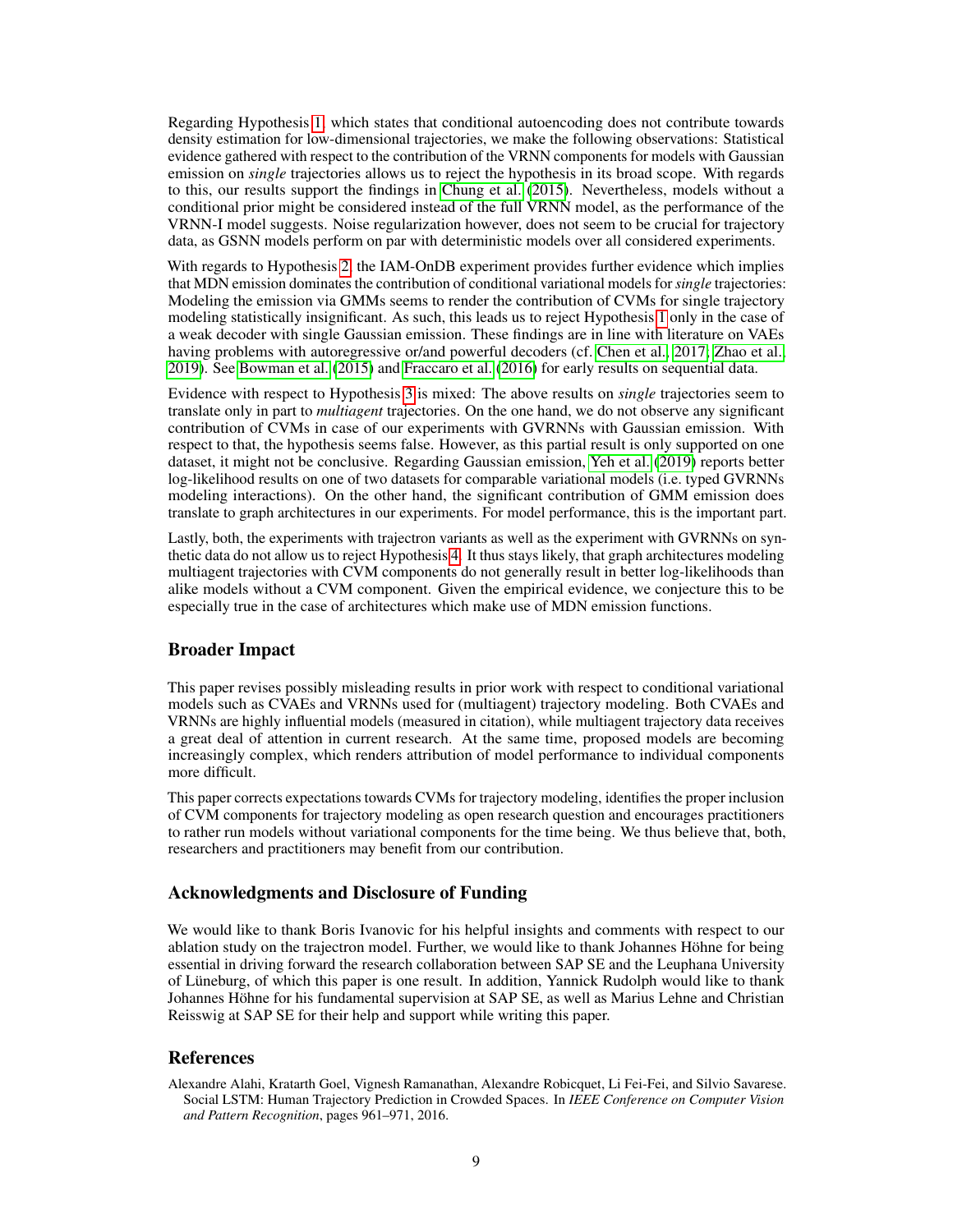Regarding Hypothesis [1,](#page-2-1) which states that conditional autoencoding does not contribute towards density estimation for low-dimensional trajectories, we make the following observations: Statistical evidence gathered with respect to the contribution of the VRNN components for models with Gaussian emission on *single* trajectories allows us to reject the hypothesis in its broad scope. With regards to this, our results support the findings in [Chung et al.](#page-9-4) [\(2015\)](#page-9-4). Nevertheless, models without a conditional prior might be considered instead of the full VRNN model, as the performance of the VRNN-I model suggests. Noise regularization however, does not seem to be crucial for trajectory data, as GSNN models perform on par with deterministic models over all considered experiments.

With regards to Hypothesis [2,](#page-3-1) the IAM-OnDB experiment provides further evidence which implies that MDN emission dominates the contribution of conditional variational models for *single* trajectories: Modeling the emission via GMMs seems to render the contribution of CVMs for single trajectory modeling statistically insignificant. As such, this leads us to reject Hypothesis [1](#page-2-1) only in the case of a weak decoder with single Gaussian emission. These findings are in line with literature on VAEs having problems with autoregressive or/and powerful decoders (cf. [Chen et al., 2017;](#page-9-18) [Zhao et al.,](#page-11-4) [2019\)](#page-11-4). See [Bowman et al.](#page-9-19) [\(2015\)](#page-9-19) and [Fraccaro et al.](#page-9-20) [\(2016\)](#page-9-20) for early results on sequential data.

Evidence with respect to Hypothesis [3](#page-3-2) is mixed: The above results on *single* trajectories seem to translate only in part to *multiagent* trajectories. On the one hand, we do not observe any significant contribution of CVMs in case of our experiments with GVRNNs with Gaussian emission. With respect to that, the hypothesis seems false. However, as this partial result is only supported on one dataset, it might not be conclusive. Regarding Gaussian emission, [Yeh et al.](#page-11-0) [\(2019\)](#page-11-0) reports better log-likelihood results on one of two datasets for comparable variational models (i.e. typed GVRNNs modeling interactions). On the other hand, the significant contribution of GMM emission does translate to graph architectures in our experiments. For model performance, this is the important part.

Lastly, both, the experiments with trajectron variants as well as the experiment with GVRNNs on synthetic data do not allow us to reject Hypothesis [4.](#page-4-3) It thus stays likely, that graph architectures modeling multiagent trajectories with CVM components do not generally result in better log-likelihoods than alike models without a CVM component. Given the empirical evidence, we conjecture this to be especially true in the case of architectures which make use of MDN emission functions.

# Broader Impact

This paper revises possibly misleading results in prior work with respect to conditional variational models such as CVAEs and VRNNs used for (multiagent) trajectory modeling. Both CVAEs and VRNNs are highly influential models (measured in citation), while multiagent trajectory data receives a great deal of attention in current research. At the same time, proposed models are becoming increasingly complex, which renders attribution of model performance to individual components more difficult.

This paper corrects expectations towards CVMs for trajectory modeling, identifies the proper inclusion of CVM components for trajectory modeling as open research question and encourages practitioners to rather run models without variational components for the time being. We thus believe that, both, researchers and practitioners may benefit from our contribution.

# Acknowledgments and Disclosure of Funding

We would like to thank Boris Ivanovic for his helpful insights and comments with respect to our ablation study on the trajectron model. Further, we would like to thank Johannes Höhne for being essential in driving forward the research collaboration between SAP SE and the Leuphana University of Lüneburg, of which this paper is one result. In addition, Yannick Rudolph would like to thank Johannes Höhne for his fundamental supervision at SAP SE, as well as Marius Lehne and Christian Reisswig at SAP SE for their help and support while writing this paper.

### References

<span id="page-8-0"></span>Alexandre Alahi, Kratarth Goel, Vignesh Ramanathan, Alexandre Robicquet, Li Fei-Fei, and Silvio Savarese. Social LSTM: Human Trajectory Prediction in Crowded Spaces. In *IEEE Conference on Computer Vision and Pattern Recognition*, pages 961–971, 2016.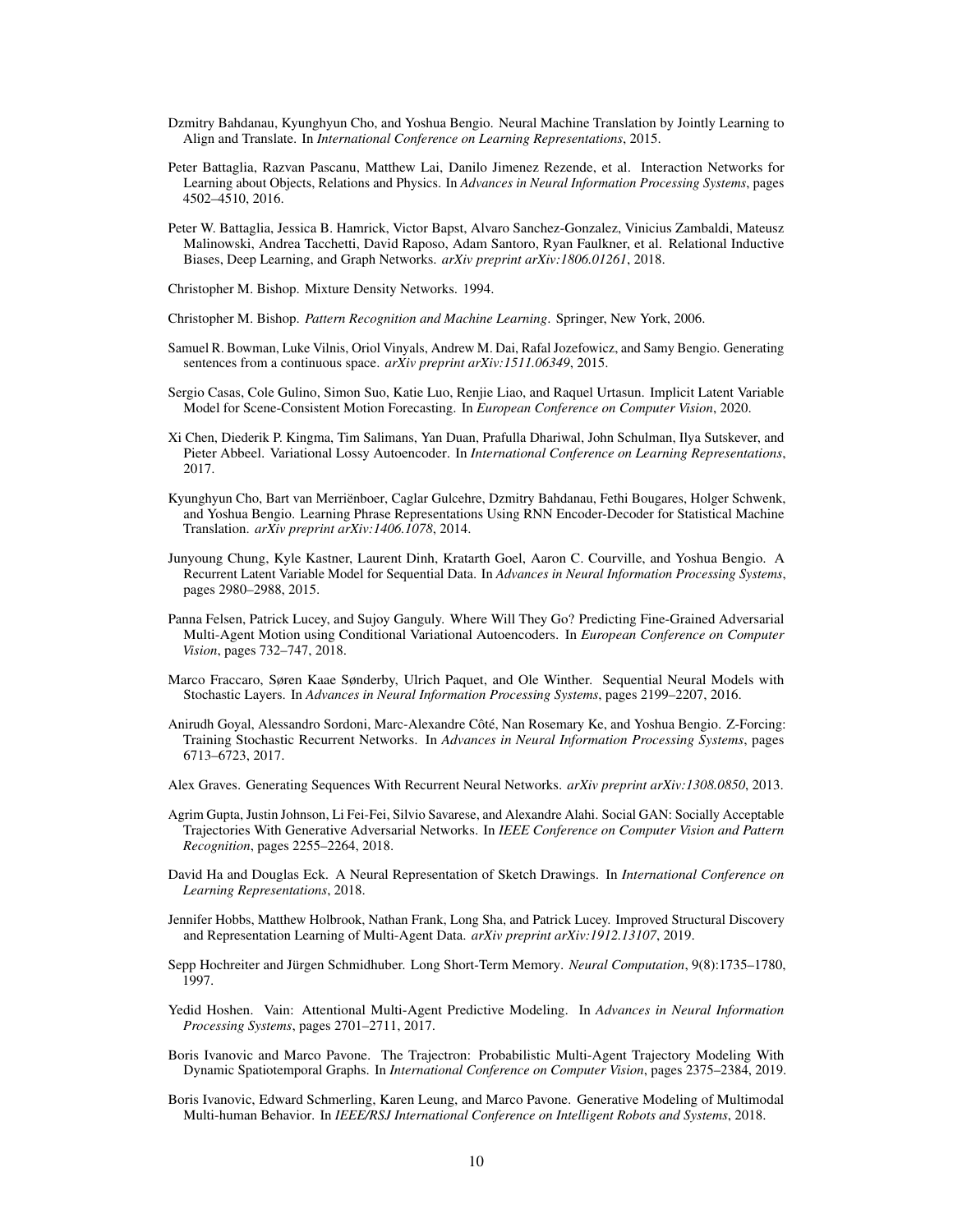- <span id="page-9-11"></span>Dzmitry Bahdanau, Kyunghyun Cho, and Yoshua Bengio. Neural Machine Translation by Jointly Learning to Align and Translate. In *International Conference on Learning Representations*, 2015.
- <span id="page-9-16"></span>Peter Battaglia, Razvan Pascanu, Matthew Lai, Danilo Jimenez Rezende, et al. Interaction Networks for Learning about Objects, Relations and Physics. In *Advances in Neural Information Processing Systems*, pages 4502–4510, 2016.
- <span id="page-9-2"></span>Peter W. Battaglia, Jessica B. Hamrick, Victor Bapst, Alvaro Sanchez-Gonzalez, Vinicius Zambaldi, Mateusz Malinowski, Andrea Tacchetti, David Raposo, Adam Santoro, Ryan Faulkner, et al. Relational Inductive Biases, Deep Learning, and Graph Networks. *arXiv preprint arXiv:1806.01261*, 2018.

<span id="page-9-6"></span>Christopher M. Bishop. Mixture Density Networks. 1994.

<span id="page-9-7"></span>Christopher M. Bishop. *Pattern Recognition and Machine Learning*. Springer, New York, 2006.

- <span id="page-9-19"></span>Samuel R. Bowman, Luke Vilnis, Oriol Vinyals, Andrew M. Dai, Rafal Jozefowicz, and Samy Bengio. Generating sentences from a continuous space. *arXiv preprint arXiv:1511.06349*, 2015.
- <span id="page-9-1"></span>Sergio Casas, Cole Gulino, Simon Suo, Katie Luo, Renjie Liao, and Raquel Urtasun. Implicit Latent Variable Model for Scene-Consistent Motion Forecasting. In *European Conference on Computer Vision*, 2020.
- <span id="page-9-18"></span>Xi Chen, Diederik P. Kingma, Tim Salimans, Yan Duan, Prafulla Dhariwal, John Schulman, Ilya Sutskever, and Pieter Abbeel. Variational Lossy Autoencoder. In *International Conference on Learning Representations*, 2017.
- <span id="page-9-17"></span>Kyunghyun Cho, Bart van Merriënboer, Caglar Gulcehre, Dzmitry Bahdanau, Fethi Bougares, Holger Schwenk, and Yoshua Bengio. Learning Phrase Representations Using RNN Encoder-Decoder for Statistical Machine Translation. *arXiv preprint arXiv:1406.1078*, 2014.
- <span id="page-9-4"></span>Junyoung Chung, Kyle Kastner, Laurent Dinh, Kratarth Goel, Aaron C. Courville, and Yoshua Bengio. A Recurrent Latent Variable Model for Sequential Data. In *Advances in Neural Information Processing Systems*, pages 2980–2988, 2015.
- <span id="page-9-3"></span>Panna Felsen, Patrick Lucey, and Sujoy Ganguly. Where Will They Go? Predicting Fine-Grained Adversarial Multi-Agent Motion using Conditional Variational Autoencoders. In *European Conference on Computer Vision*, pages 732–747, 2018.
- <span id="page-9-20"></span>Marco Fraccaro, Søren Kaae Sønderby, Ulrich Paquet, and Ole Winther. Sequential Neural Models with Stochastic Layers. In *Advances in Neural Information Processing Systems*, pages 2199–2207, 2016.
- <span id="page-9-15"></span>Anirudh Goyal, Alessandro Sordoni, Marc-Alexandre Côté, Nan Rosemary Ke, and Yoshua Bengio. Z-Forcing: Training Stochastic Recurrent Networks. In *Advances in Neural Information Processing Systems*, pages 6713–6723, 2017.

<span id="page-9-8"></span>Alex Graves. Generating Sequences With Recurrent Neural Networks. *arXiv preprint arXiv:1308.0850*, 2013.

- <span id="page-9-0"></span>Agrim Gupta, Justin Johnson, Li Fei-Fei, Silvio Savarese, and Alexandre Alahi. Social GAN: Socially Acceptable Trajectories With Generative Adversarial Networks. In *IEEE Conference on Computer Vision and Pattern Recognition*, pages 2255–2264, 2018.
- <span id="page-9-9"></span>David Ha and Douglas Eck. A Neural Representation of Sketch Drawings. In *International Conference on Learning Representations*, 2018.
- <span id="page-9-10"></span>Jennifer Hobbs, Matthew Holbrook, Nathan Frank, Long Sha, and Patrick Lucey. Improved Structural Discovery and Representation Learning of Multi-Agent Data. *arXiv preprint arXiv:1912.13107*, 2019.
- <span id="page-9-14"></span>Sepp Hochreiter and Jürgen Schmidhuber. Long Short-Term Memory. *Neural Computation*, 9(8):1735–1780, 1997.
- <span id="page-9-12"></span>Yedid Hoshen. Vain: Attentional Multi-Agent Predictive Modeling. In *Advances in Neural Information Processing Systems*, pages 2701–2711, 2017.
- <span id="page-9-5"></span>Boris Ivanovic and Marco Pavone. The Trajectron: Probabilistic Multi-Agent Trajectory Modeling With Dynamic Spatiotemporal Graphs. In *International Conference on Computer Vision*, pages 2375–2384, 2019.
- <span id="page-9-13"></span>Boris Ivanovic, Edward Schmerling, Karen Leung, and Marco Pavone. Generative Modeling of Multimodal Multi-human Behavior. In *IEEE/RSJ International Conference on Intelligent Robots and Systems*, 2018.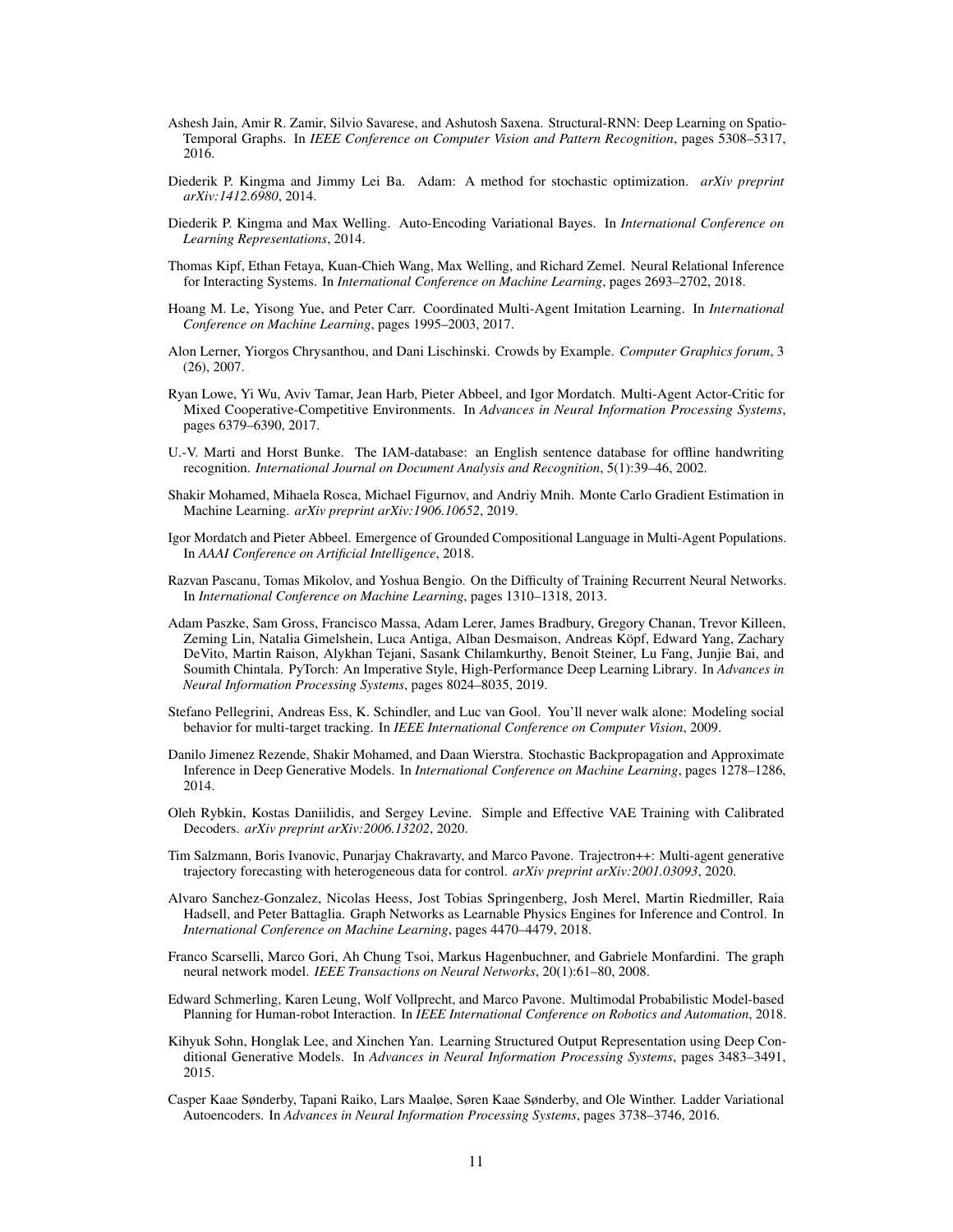- <span id="page-10-11"></span>Ashesh Jain, Amir R. Zamir, Silvio Savarese, and Ashutosh Saxena. Structural-RNN: Deep Learning on Spatio-Temporal Graphs. In *IEEE Conference on Computer Vision and Pattern Recognition*, pages 5308–5317, 2016.
- <span id="page-10-14"></span>Diederik P. Kingma and Jimmy Lei Ba. Adam: A method for stochastic optimization. *arXiv preprint arXiv:1412.6980*, 2014.
- <span id="page-10-3"></span>Diederik P. Kingma and Max Welling. Auto-Encoding Variational Bayes. In *International Conference on Learning Representations*, 2014.
- <span id="page-10-6"></span>Thomas Kipf, Ethan Fetaya, Kuan-Chieh Wang, Max Welling, and Richard Zemel. Neural Relational Inference for Interacting Systems. In *International Conference on Machine Learning*, pages 2693–2702, 2018.
- <span id="page-10-0"></span>Hoang M. Le, Yisong Yue, and Peter Carr. Coordinated Multi-Agent Imitation Learning. In *International Conference on Machine Learning*, pages 1995–2003, 2017.
- <span id="page-10-16"></span>Alon Lerner, Yiorgos Chrysanthou, and Dani Lischinski. Crowds by Example. *Computer Graphics forum*, 3 (26), 2007.
- <span id="page-10-18"></span>Ryan Lowe, Yi Wu, Aviv Tamar, Jean Harb, Pieter Abbeel, and Igor Mordatch. Multi-Agent Actor-Critic for Mixed Cooperative-Competitive Environments. In *Advances in Neural Information Processing Systems*, pages 6379–6390, 2017.
- <span id="page-10-5"></span>U.-V. Marti and Horst Bunke. The IAM-database: an English sentence database for offline handwriting recognition. *International Journal on Document Analysis and Recognition*, 5(1):39–46, 2002.
- <span id="page-10-10"></span>Shakir Mohamed, Mihaela Rosca, Michael Figurnov, and Andriy Mnih. Monte Carlo Gradient Estimation in Machine Learning. *arXiv preprint arXiv:1906.10652*, 2019.
- <span id="page-10-17"></span>Igor Mordatch and Pieter Abbeel. Emergence of Grounded Compositional Language in Multi-Agent Populations. In *AAAI Conference on Artificial Intelligence*, 2018.
- <span id="page-10-19"></span>Razvan Pascanu, Tomas Mikolov, and Yoshua Bengio. On the Difficulty of Training Recurrent Neural Networks. In *International Conference on Machine Learning*, pages 1310–1318, 2013.
- <span id="page-10-12"></span>Adam Paszke, Sam Gross, Francisco Massa, Adam Lerer, James Bradbury, Gregory Chanan, Trevor Killeen, Zeming Lin, Natalia Gimelshein, Luca Antiga, Alban Desmaison, Andreas Köpf, Edward Yang, Zachary DeVito, Martin Raison, Alykhan Tejani, Sasank Chilamkurthy, Benoit Steiner, Lu Fang, Junjie Bai, and Soumith Chintala. PyTorch: An Imperative Style, High-Performance Deep Learning Library. In *Advances in Neural Information Processing Systems*, pages 8024–8035, 2019.
- <span id="page-10-15"></span>Stefano Pellegrini, Andreas Ess, K. Schindler, and Luc van Gool. You'll never walk alone: Modeling social behavior for multi-target tracking. In *IEEE International Conference on Computer Vision*, 2009.
- <span id="page-10-4"></span>Danilo Jimenez Rezende, Shakir Mohamed, and Daan Wierstra. Stochastic Backpropagation and Approximate Inference in Deep Generative Models. In *International Conference on Machine Learning*, pages 1278–1286, 2014.
- <span id="page-10-13"></span>Oleh Rybkin, Kostas Daniilidis, and Sergey Levine. Simple and Effective VAE Training with Calibrated Decoders. *arXiv preprint arXiv:2006.13202*, 2020.
- <span id="page-10-8"></span>Tim Salzmann, Boris Ivanovic, Punarjay Chakravarty, and Marco Pavone. Trajectron++: Multi-agent generative trajectory forecasting with heterogeneous data for control. *arXiv preprint arXiv:2001.03093*, 2020.
- <span id="page-10-7"></span>Alvaro Sanchez-Gonzalez, Nicolas Heess, Jost Tobias Springenberg, Josh Merel, Martin Riedmiller, Raia Hadsell, and Peter Battaglia. Graph Networks as Learnable Physics Engines for Inference and Control. In *International Conference on Machine Learning*, pages 4470–4479, 2018.
- <span id="page-10-1"></span>Franco Scarselli, Marco Gori, Ah Chung Tsoi, Markus Hagenbuchner, and Gabriele Monfardini. The graph neural network model. *IEEE Transactions on Neural Networks*, 20(1):61–80, 2008.
- <span id="page-10-9"></span>Edward Schmerling, Karen Leung, Wolf Vollprecht, and Marco Pavone. Multimodal Probabilistic Model-based Planning for Human-robot Interaction. In *IEEE International Conference on Robotics and Automation*, 2018.
- <span id="page-10-2"></span>Kihyuk Sohn, Honglak Lee, and Xinchen Yan. Learning Structured Output Representation using Deep Conditional Generative Models. In *Advances in Neural Information Processing Systems*, pages 3483–3491, 2015.
- <span id="page-10-20"></span>Casper Kaae Sønderby, Tapani Raiko, Lars Maaløe, Søren Kaae Sønderby, and Ole Winther. Ladder Variational Autoencoders. In *Advances in Neural Information Processing Systems*, pages 3738–3746, 2016.